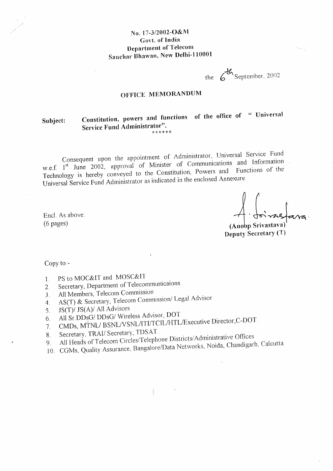### No. 17-3/2002-O&M Govt. of India **Department of Telecom** Sanchar Bhawan, New Delhi-110001

the 6<sup>th</sup> September, 2002

## OFFICE MEMORANDUM

### Constitution, powers and functions of the office of " Universal Subject: Service Fund Administrator".

Consequent upon the appointment of Administrator, Universal Service Fund w.e.f. 1<sup>st</sup> June 2002, approval of Minister of Communications and Information Technology is hereby conveyed to the Constitution, Powers and Functions of the Universal Service Fund Administrator as indicated in the enclosed Annexure.

Encl. As above.  $(6 \text{ pages})$ 

(Anobp Srivastava) Deputy Secretary (T)

Copy to:-

- PS to MOC&IT and MOSC&IT  $\mathbf{1}$ .
- Secretary, Department of Telecommunicaions  $2.$
- All Members, Telecom Commission  $\mathfrak{Z}$ .
- AS(T) & Secretary, Telecom Commission/ Legal Advisor  $\overline{4}$ .
- JS(T)/ JS(A)/ All Advisors  $5<sub>1</sub>$
- All Sr.DDsG/ DDsG/ Wireless Advisor, DOT 6.
- CMDs, MTNL/ BSNL/VSNL/ITI/TCIL/HTL/Executive Director, C-DOT.
- 7. Secretary, TRAI/ Secretary, TDSAT
- 8. All Heads of Telecom Circles/Telephone Districts/Administrative Offices
- 10. CGMs, Quality Assurance, Bangalore/Data Networks, Noida, Chandigarh, Calcutta.  $9<sub>1</sub>$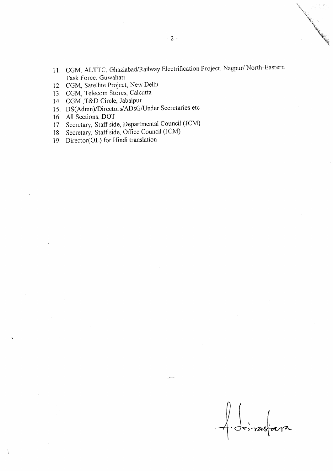- 11. CGM, ALTTC, Ghaziabad/Railway Electrification Project, Nagpur/ North-Eastern Task Force, Guwahati
- 12. CGM, Satellite Project, New Delhi
- 13. CGM, Telecom Stores, Calcutta
- 14 CGM ,T&D Circle, Jabalpur
- 15. DS(Admn)/Directors/ADsG/Under Secretaries etc
- 16. All Sections, DOT
- l7 . Secretary, Staff side, Departmental Council (JCM)
- 18 Secretary, Staff side, Office Council (JCM)
- 19. Director(Ol) for Hindi translation

to rustara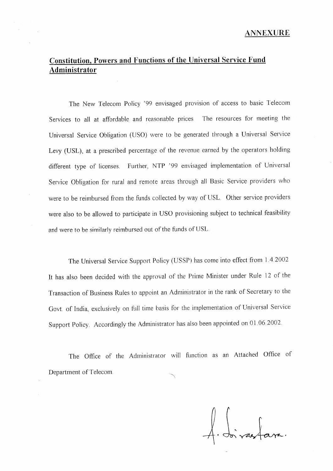# Constitution, Powers and Functions of the Universal Service Fund Administrator

The New Telecom Policy '99 envisaged provision of access to basic Telecom Services to all at affordable and reasonable prices. The resources for meeting the Universal Service Obligation (USO) were to be generated through a Universal Service Levy (USL), at a prescribed percentage of the revenue earned by the operators holding different type of licenses. Further, NTP '99 envisaged implementation of Universal Service Obligation for rural and remote areas through all Basic Service providers who were to be reimbursed from the funds collected by way of USL. Other service providers were also to be allowed to participate in USO provisioning subject to technical feasibility and were to be similarly reimbursed out of the funds of USL.

The Universal Service Support Policy (USSP) has come into effect from 1.4.2002 It has also been decided with the approval of the Prime Minister under Rule 12 of the Transaction of Business Rules to appoint an Administrator in the rank of Secretary to the Govt. of India, exclusively on full time basis for the implementation of Universal Service Support Policy. Accordingly the Administrator has aiso been appointed on 01 06 2002.

The Office of the Administrator will function as an Attached Office of Department of Telecom

 $\#$  doivertain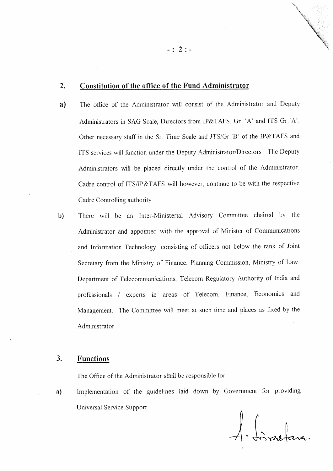#### **Constitution of the office of the Fund Administrator**  $2.$

- The office of the Administrator will consist of the Administrator and Deputy  $a)$ Administrators in SAG Scale, Directors from IP&TAFS, Gr. 'A' and ITS Gr.'A'. Other necessary staff in the Sr. Time Scale and JTS/Gr.'B' of the IP&TAFS and ITS services will function under the Deputy Administrator/Directors. The Deputy Administrators will be placed directly under the control of the Administrator. Cadre control of ITS/IP&TAFS will however, continue to be with the respective Cadre Controlling authority
- There will be an Inter-Ministerial Advisory Committee chaired by the  $b)$ Administrator and appointed with the approval of Minister of Communications and Information Technology, consisting of officers not below the rank of Joint Secretary from the Ministry of Finance, Planning Commission, Ministry of Law, Department of Telecommunications. Telecom Regulatory Authority of India and professionals / experts in areas of Telecom, Finance, Economics and Management. The Committee will meet at such time and places as fixed by the Administrator.

#### **Functions** 3.

The Office of the Administrator shall be responsible for:

Implementation of the guidelines laid down by Government for providing a) Universal Service Support

A. Limbara.

 $-: 2:-$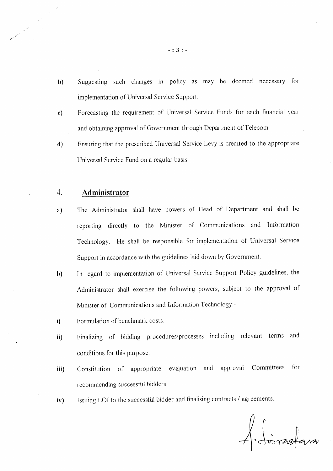- b) Suggesting such changes in policy as may be deemed necessary for implementation of Universal Service Support.
- c) Forecasting the requirement of Universal Service Funds for each financial year and obtaining approval of Government through Department of Telecom
- Ensuring that the prescribed Universal Service Levy is credited to the appropriate Universal Service Fund on a regular basis d)

#### Administrator 4.

- a) The Administrator shall have powers of Head of Departrnent and shall be reporting directly to the Minister of Communications and Information Technology. He shall be responsible for implementation of Universal Service Support in accordance with the guidelines iaid down by Government.
- $b)$ In regard to implementation of Universal Service Support Policy guidelines, the Administrator shall exercise the following powers, subject to the approval of Minister of Communications and Information Technology:-
- Formulation of benchmark costs i)
- Finalizing of bidding procedures/processes including relevant terms and conditions for this purpose. ii)
- Constitution of appropriaie evaluation and approval Committees for recommending successful bidders. iii)
- Issuing LOI to the successful bidder and finalising contracts / agreements iv)

A Soirastani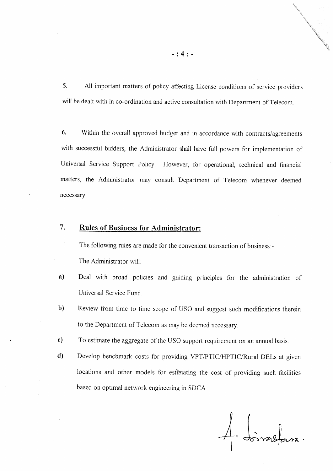5. All important matters of policy affecting License conditions of service providers will be dealt with in co-ordination and active consultation with Department of Telecom.

6. Within the overall approved budget and in accordance with contracts/agreements with successful bidders, the Adrninistrator shall have full powers for implementation of Universal Service Support Policy. However, ior operational, technical and financial matters, the Administrator may consult Departrnent of Telecom whenever deemed necessary

### 7. Rules of Business for Administrator:

The following rules are made for the convenient transaction of business:-The Administrator will

- a) Deal with broad policies and guiding principles for the administration of Universal Service Fund
- b) Review from time to time scope of USO and suggest such modifications therein to the Department of Telecom as may be deerned necessary
- c) To estimate the aggregate of the USO support requirement on an annual basis.
- d) Develop benchmark costs for providing VPT/PTIC/HPTIC/Rural DELs at given locations and other models for estimating the cost of providing such facilities based on optimal network engineering in SDCA.

 $\frac{1}{2}$ . Joines  $\sqrt{v}$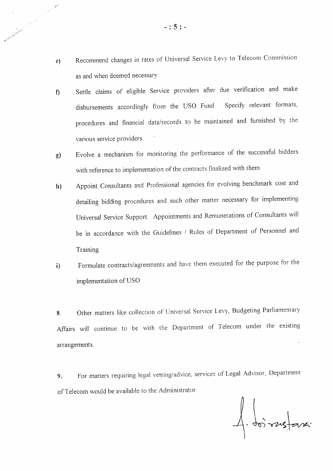- Recommend changes in rates of Universal Service Levy to Telecom Commission  $e)$ as and when deemed necessary.
- Settle claims of eligible Service providers after due verification and make f) disbursements accordingly from the USO Fund Specify relevant formats, procedures and financial data/records to be maintained and furnished by the various service providers.
- Evolve a mechanism for monitoring the performance of the successful bidders  $g)$ with reference to implementation of the contracts finalized with them.
- Appoint Consultants and Professional agencies for evolving benchmark cost and  $h)$ detailing bidding procedures and such other matter necessary for implementing Universal Service Support. Appointments and Remunerations of Consultants will be in accordance with the Guidelines / Rules of Department of Personnel and Training.
- Formulate contracts/agreements and have them executed for the purpose for the  $\ddot{\mathbf{i}}$ implementation of USO.

Other matters like collection of Universal Service Levy, Budgeting Parliamentary 8. Affairs will continue to be with the Department of Telecom under the existing arrangements.

For matters requiring legal verting/advice, services of Legal Advisor, Department 9. of Telecom would be available to the Administrator.

1. Loirestanc

Contract of the property of the contract of the contract of the contract of the contract of the contract of the contract of the contract of the contract of the contract of the contract of the contract of the contract of th